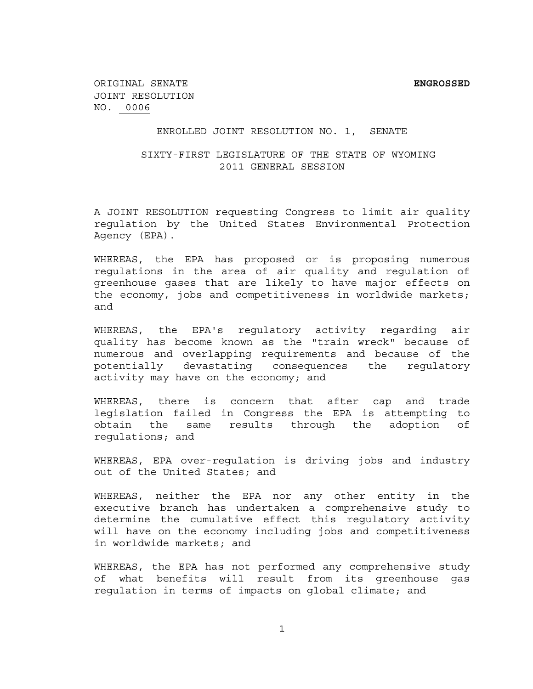## ENROLLED JOINT RESOLUTION NO. 1, SENATE

## SIXTY-FIRST LEGISLATURE OF THE STATE OF WYOMING 2011 GENERAL SESSION

A JOINT RESOLUTION requesting Congress to limit air quality regulation by the United States Environmental Protection Agency (EPA).

WHEREAS, the EPA has proposed or is proposing numerous regulations in the area of air quality and regulation of greenhouse gases that are likely to have major effects on the economy, jobs and competitiveness in worldwide markets; and

WHEREAS, the EPA's regulatory activity regarding air quality has become known as the "train wreck" because of numerous and overlapping requirements and because of the potentially devastating consequences the regulatory activity may have on the economy; and

WHEREAS, there is concern that after cap and trade legislation failed in Congress the EPA is attempting to obtain the same results through the adoption of regulations; and

WHEREAS, EPA over-regulation is driving jobs and industry out of the United States; and

WHEREAS, neither the EPA nor any other entity in the executive branch has undertaken a comprehensive study to determine the cumulative effect this regulatory activity will have on the economy including jobs and competitiveness in worldwide markets; and

WHEREAS, the EPA has not performed any comprehensive study of what benefits will result from its greenhouse gas regulation in terms of impacts on global climate; and

 $1$  1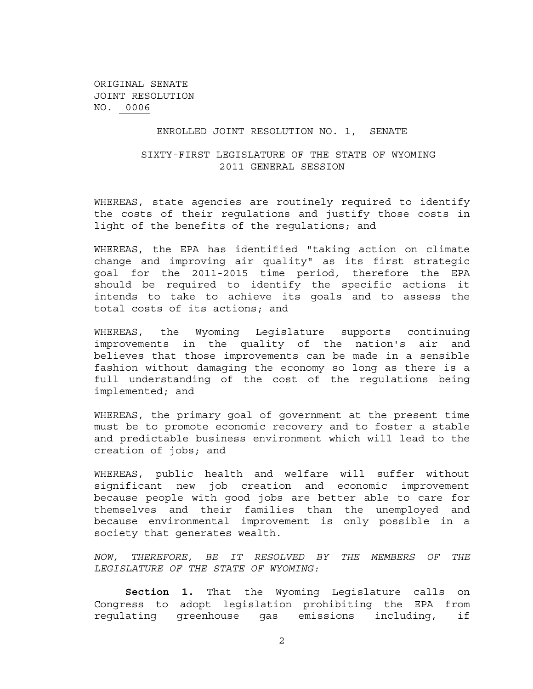ORIGINAL SENATE JOINT RESOLUTION NO. 0006

#### ENROLLED JOINT RESOLUTION NO. 1, SENATE

## SIXTY-FIRST LEGISLATURE OF THE STATE OF WYOMING 2011 GENERAL SESSION

WHEREAS, state agencies are routinely required to identify the costs of their regulations and justify those costs in light of the benefits of the regulations; and

WHEREAS, the EPA has identified "taking action on climate change and improving air quality" as its first strategic goal for the 2011-2015 time period, therefore the EPA should be required to identify the specific actions it intends to take to achieve its goals and to assess the total costs of its actions; and

WHEREAS, the Wyoming Legislature supports continuing improvements in the quality of the nation's air and believes that those improvements can be made in a sensible fashion without damaging the economy so long as there is a full understanding of the cost of the regulations being implemented; and

WHEREAS, the primary goal of government at the present time must be to promote economic recovery and to foster a stable and predictable business environment which will lead to the creation of jobs; and

WHEREAS, public health and welfare will suffer without significant new job creation and economic improvement because people with good jobs are better able to care for themselves and their families than the unemployed and because environmental improvement is only possible in a society that generates wealth.

*NOW, THEREFORE, BE IT RESOLVED BY THE MEMBERS OF THE LEGISLATURE OF THE STATE OF WYOMING:* 

**Section 1.** That the Wyoming Legislature calls on Congress to adopt legislation prohibiting the EPA from regulating greenhouse gas emissions including, if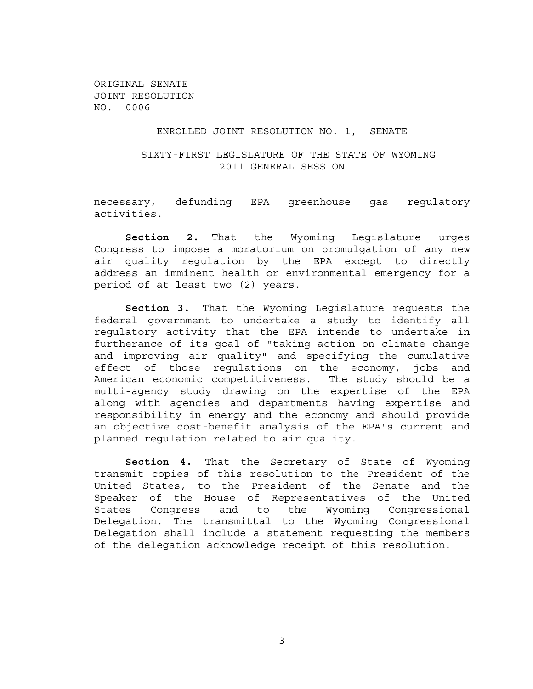ORIGINAL SENATE JOINT RESOLUTION NO. 0006

## ENROLLED JOINT RESOLUTION NO. 1, SENATE

## SIXTY-FIRST LEGISLATURE OF THE STATE OF WYOMING 2011 GENERAL SESSION

necessary, defunding EPA greenhouse gas regulatory activities.

**Section 2.** That the Wyoming Legislature urges Congress to impose a moratorium on promulgation of any new air quality regulation by the EPA except to directly address an imminent health or environmental emergency for a period of at least two (2) years.

**Section 3.** That the Wyoming Legislature requests the federal government to undertake a study to identify all regulatory activity that the EPA intends to undertake in furtherance of its goal of "taking action on climate change and improving air quality" and specifying the cumulative effect of those regulations on the economy, jobs and American economic competitiveness. The study should be a multi-agency study drawing on the expertise of the EPA along with agencies and departments having expertise and responsibility in energy and the economy and should provide an objective cost-benefit analysis of the EPA's current and planned regulation related to air quality.

**Section 4.** That the Secretary of State of Wyoming transmit copies of this resolution to the President of the United States, to the President of the Senate and the Speaker of the House of Representatives of the United States Congress and to the Wyoming Congressional Delegation. The transmittal to the Wyoming Congressional Delegation shall include a statement requesting the members of the delegation acknowledge receipt of this resolution.